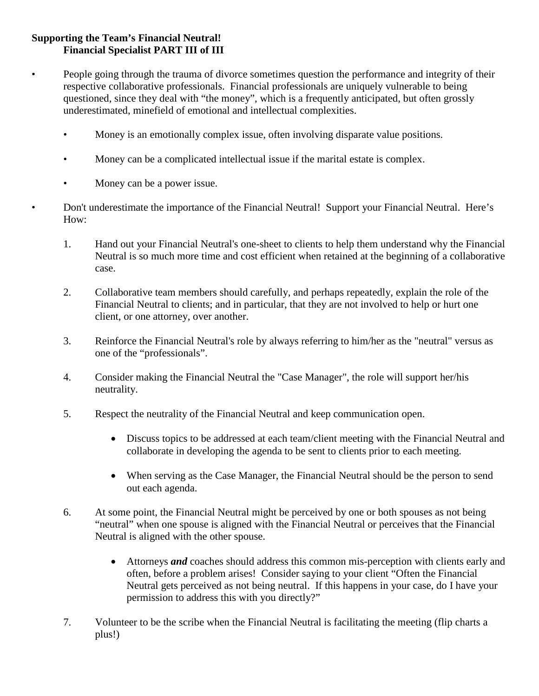## **Supporting the Team's Financial Neutral! Financial Specialist PART III of III**

- People going through the trauma of divorce sometimes question the performance and integrity of their respective collaborative professionals. Financial professionals are uniquely vulnerable to being questioned, since they deal with "the money", which is a frequently anticipated, but often grossly underestimated, minefield of emotional and intellectual complexities.
	- Money is an emotionally complex issue, often involving disparate value positions.
	- Money can be a complicated intellectual issue if the marital estate is complex.
	- Money can be a power issue.

• Don't underestimate the importance of the Financial Neutral! Support your Financial Neutral. Here's How:

- 1. Hand out your Financial Neutral's one-sheet to clients to help them understand why the Financial Neutral is so much more time and cost efficient when retained at the beginning of a collaborative case.
- 2. Collaborative team members should carefully, and perhaps repeatedly, explain the role of the Financial Neutral to clients; and in particular, that they are not involved to help or hurt one client, or one attorney, over another.
- 3. Reinforce the Financial Neutral's role by always referring to him/her as the "neutral" versus as one of the "professionals".
- 4. Consider making the Financial Neutral the "Case Manager", the role will support her/his neutrality.
- 5. Respect the neutrality of the Financial Neutral and keep communication open.
	- Discuss topics to be addressed at each team/client meeting with the Financial Neutral and collaborate in developing the agenda to be sent to clients prior to each meeting.
	- When serving as the Case Manager, the Financial Neutral should be the person to send out each agenda.
- 6. At some point, the Financial Neutral might be perceived by one or both spouses as not being "neutral" when one spouse is aligned with the Financial Neutral or perceives that the Financial Neutral is aligned with the other spouse.
	- Attorneys *and* coaches should address this common mis-perception with clients early and often, before a problem arises! Consider saying to your client "Often the Financial Neutral gets perceived as not being neutral. If this happens in your case, do I have your permission to address this with you directly?"
- 7. Volunteer to be the scribe when the Financial Neutral is facilitating the meeting (flip charts a plus!)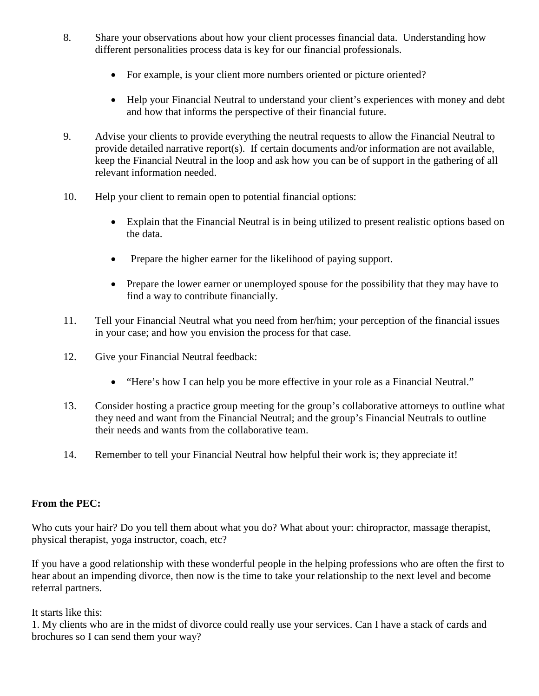- 8. Share your observations about how your client processes financial data. Understanding how different personalities process data is key for our financial professionals.
	- For example, is your client more numbers oriented or picture oriented?
	- Help your Financial Neutral to understand your client's experiences with money and debt and how that informs the perspective of their financial future.
- 9. Advise your clients to provide everything the neutral requests to allow the Financial Neutral to provide detailed narrative report(s). If certain documents and/or information are not available, keep the Financial Neutral in the loop and ask how you can be of support in the gathering of all relevant information needed.
- 10. Help your client to remain open to potential financial options:
	- Explain that the Financial Neutral is in being utilized to present realistic options based on the data.
	- Prepare the higher earner for the likelihood of paying support.
	- Prepare the lower earner or unemployed spouse for the possibility that they may have to find a way to contribute financially.
- 11. Tell your Financial Neutral what you need from her/him; your perception of the financial issues in your case; and how you envision the process for that case.
- 12. Give your Financial Neutral feedback:
	- "Here's how I can help you be more effective in your role as a Financial Neutral."
- 13. Consider hosting a practice group meeting for the group's collaborative attorneys to outline what they need and want from the Financial Neutral; and the group's Financial Neutrals to outline their needs and wants from the collaborative team.
- 14. Remember to tell your Financial Neutral how helpful their work is; they appreciate it!

## **From the PEC:**

Who cuts your hair? Do you tell them about what you do? What about your: chiropractor, massage therapist, physical therapist, yoga instructor, coach, etc?

If you have a good relationship with these wonderful people in the helping professions who are often the first to hear about an impending divorce, then now is the time to take your relationship to the next level and become referral partners.

It starts like this:

1. My clients who are in the midst of divorce could really use your services. Can I have a stack of cards and brochures so I can send them your way?